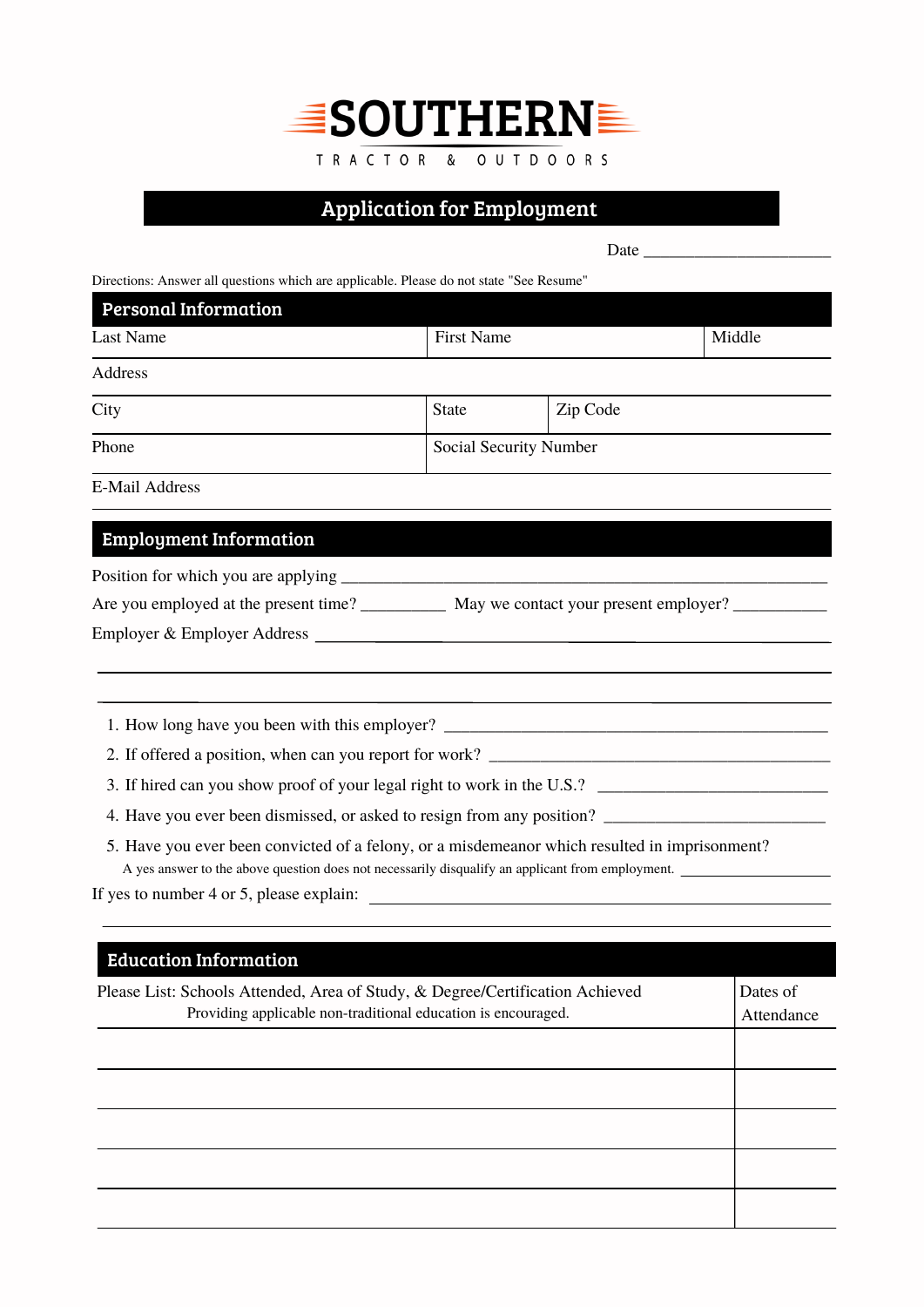

TRACTOR & OUTDOORS

Application for Employment

Date \_\_\_\_\_\_\_\_\_\_\_\_\_\_\_\_\_\_\_\_\_\_

Directions: Answer all questions which are applicable. Please do not state "See Resume"

| <b>Last Name</b>              | <b>First Name</b> | Middle                                                                                                                                                                                            |
|-------------------------------|-------------------|---------------------------------------------------------------------------------------------------------------------------------------------------------------------------------------------------|
| Address                       |                   |                                                                                                                                                                                                   |
| City                          | <b>State</b>      | Zip Code                                                                                                                                                                                          |
| Phone                         |                   | Social Security Number                                                                                                                                                                            |
| <b>E-Mail Address</b>         |                   |                                                                                                                                                                                                   |
| <b>Employment Information</b> |                   |                                                                                                                                                                                                   |
|                               |                   |                                                                                                                                                                                                   |
|                               |                   | Are you employed at the present time? _____________ May we contact your present employer? ________________                                                                                        |
|                               |                   |                                                                                                                                                                                                   |
|                               |                   |                                                                                                                                                                                                   |
|                               |                   |                                                                                                                                                                                                   |
|                               |                   |                                                                                                                                                                                                   |
|                               |                   |                                                                                                                                                                                                   |
|                               |                   |                                                                                                                                                                                                   |
|                               |                   | 5. Have you ever been convicted of a felony, or a misdemeanor which resulted in imprisonment?<br>A yes answer to the above question does not necessarily disqualify an applicant from employment. |
|                               |                   |                                                                                                                                                                                                   |

| <b>Education Information</b>                                                  |            |  |
|-------------------------------------------------------------------------------|------------|--|
| Please List: Schools Attended, Area of Study, & Degree/Certification Achieved |            |  |
| Providing applicable non-traditional education is encouraged.                 | Attendance |  |
|                                                                               |            |  |
|                                                                               |            |  |
|                                                                               |            |  |
|                                                                               |            |  |
|                                                                               |            |  |
|                                                                               |            |  |
|                                                                               |            |  |
|                                                                               |            |  |